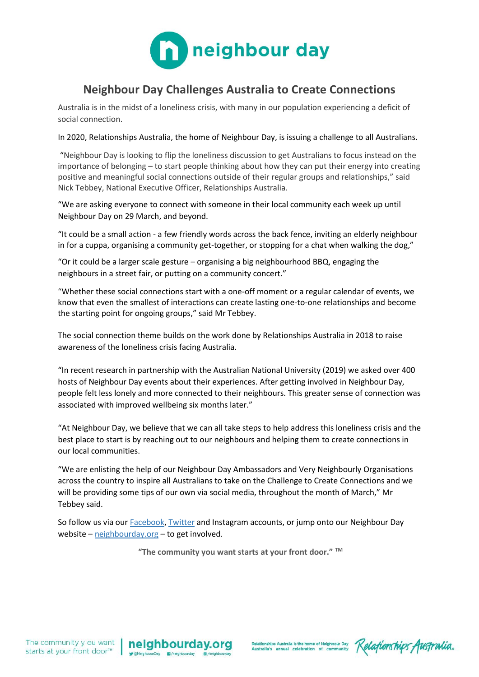

## **Neighbour Day Challenges Australia to Create Connections**

Australia is in the midst of a loneliness crisis, with many in our population experiencing a deficit of social connection.

In 2020, Relationships Australia, the home of Neighbour Day, is issuing a challenge to all Australians.

"Neighbour Day is looking to flip the loneliness discussion to get Australians to focus instead on the importance of belonging – to start people thinking about how they can put their energy into creating positive and meaningful social connections outside of their regular groups and relationships," said Nick Tebbey, National Executive Officer, Relationships Australia.

"We are asking everyone to connect with someone in their local community each week up until Neighbour Day on 29 March, and beyond.

"It could be a small action - a few friendly words across the back fence, inviting an elderly neighbour in for a cuppa, organising a community get-together, or stopping for a chat when walking the dog,"

"Or it could be a larger scale gesture – organising a big neighbourhood BBQ, engaging the neighbours in a street fair, or putting on a community concert."

"Whether these social connections start with a one-off moment or a regular calendar of events, we know that even the smallest of interactions can create lasting one-to-one relationships and become the starting point for ongoing groups," said Mr Tebbey.

The social connection theme builds on the work done by Relationships Australia in 2018 to raise awareness of the loneliness crisis facing Australia.

"In recent research in partnership with the Australian National University (2019) we asked over 400 hosts of Neighbour Day events about their experiences. After getting involved in Neighbour Day, people felt less lonely and more connected to their neighbours. This greater sense of connection was associated with improved wellbeing six months later."

"At Neighbour Day, we believe that we can all take steps to help address this loneliness crisis and the best place to start is by reaching out to our neighbours and helping them to create connections in our local communities.

"We are enlisting the help of our Neighbour Day Ambassadors and Very Neighbourly Organisations across the country to inspire all Australians to take on the Challenge to Create Connections and we will be providing some tips of our own via social media, throughout the month of March," Mr Tebbey said.

So follow us via our **Facebook, [Twitter](http://www.twitter.com/NeighbourDay) and Instagram accounts**, or jump onto our Neighbour Day website – [neighbourday.org](http://neighbourday.org/) – to get involved.

**"The community you want starts at your front door." TM**



Relationships Australia is the home of Neighbour Day Relationships Australia's annual celebration of community Relationships Australia.